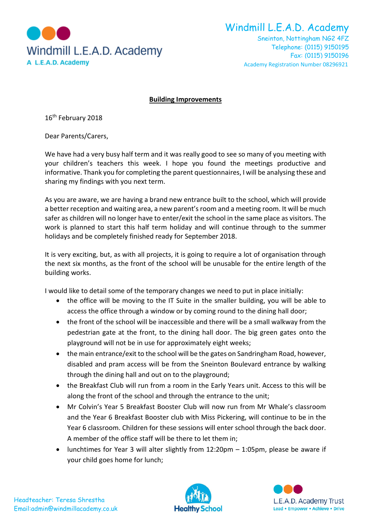

Windmill L.E.A.D. Academy

Sneinton, Nottingham NG2 4FZ Telephone: (0115) 9150195 Fax: (0115) 9150196 Academy Registration Number 08296921

## **Building Improvements**

16<sup>th</sup> February 2018

Dear Parents/Carers,

We have had a very busy half term and it was really good to see so many of you meeting with your children's teachers this week. I hope you found the meetings productive and informative. Thank you for completing the parent questionnaires, I will be analysing these and sharing my findings with you next term.

As you are aware, we are having a brand new entrance built to the school, which will provide a better reception and waiting area, a new parent's room and a meeting room. It will be much safer as children will no longer have to enter/exit the school in the same place as visitors. The work is planned to start this half term holiday and will continue through to the summer holidays and be completely finished ready for September 2018.

It is very exciting, but, as with all projects, it is going to require a lot of organisation through the next six months, as the front of the school will be unusable for the entire length of the building works.

I would like to detail some of the temporary changes we need to put in place initially:

- the office will be moving to the IT Suite in the smaller building, you will be able to access the office through a window or by coming round to the dining hall door;
- the front of the school will be inaccessible and there will be a small walkway from the pedestrian gate at the front, to the dining hall door. The big green gates onto the playground will not be in use for approximately eight weeks;
- the main entrance/exit to the school will be the gates on Sandringham Road, however, disabled and pram access will be from the Sneinton Boulevard entrance by walking through the dining hall and out on to the playground;
- the Breakfast Club will run from a room in the Early Years unit. Access to this will be along the front of the school and through the entrance to the unit;
- Mr Colvin's Year 5 Breakfast Booster Club will now run from Mr Whale's classroom and the Year 6 Breakfast Booster club with Miss Pickering, will continue to be in the Year 6 classroom. Children for these sessions will enter school through the back door. A member of the office staff will be there to let them in;
- lunchtimes for Year 3 will alter slightly from 12:20pm 1:05pm, please be aware if your child goes home for lunch;



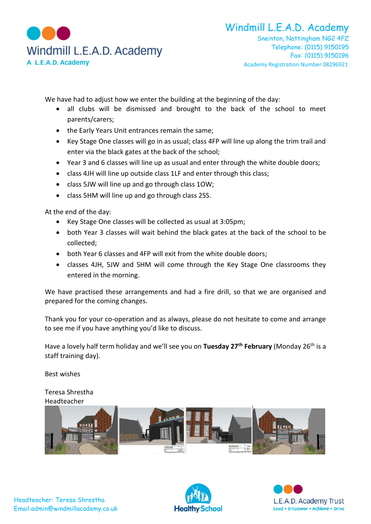

Sneinton, Nottingham NG2 4FZ Telephone: (0115) 9150195 Fax: (0115) 9150196 Academy Registration Number 08296921

We have had to adjust how we enter the building at the beginning of the day:

- all clubs will be dismissed and brought to the back of the school to meet parents/carers;
- the Early Years Unit entrances remain the same;
- Key Stage One classes will go in as usual; class 4FP will line up along the trim trail and enter via the black gates at the back of the school;
- Year 3 and 6 classes will line up as usual and enter through the white double doors;
- class 4JH will line up outside class 1LF and enter through this class;
- class 5JW will line up and go through class 1OW;
- class 5HM will line up and go through class 2SS.

At the end of the day:

- Key Stage One classes will be collected as usual at 3:05pm;
- both Year 3 classes will wait behind the black gates at the back of the school to be collected;
- both Year 6 classes and 4FP will exit from the white double doors;
- classes 4JH, 5JW and 5HM will come through the Key Stage One classrooms they entered in the morning.

We have practised these arrangements and had a fire drill, so that we are organised and prepared for the coming changes.

Thank you for your co-operation and as always, please do not hesitate to come and arrange to see me if you have anything you'd like to discuss.

Have a lovely half term holiday and we'll see you on **Tuesday 27th February** (Monday 26th is a staff training day).

Best wishes

Teresa Shrestha Headteacher